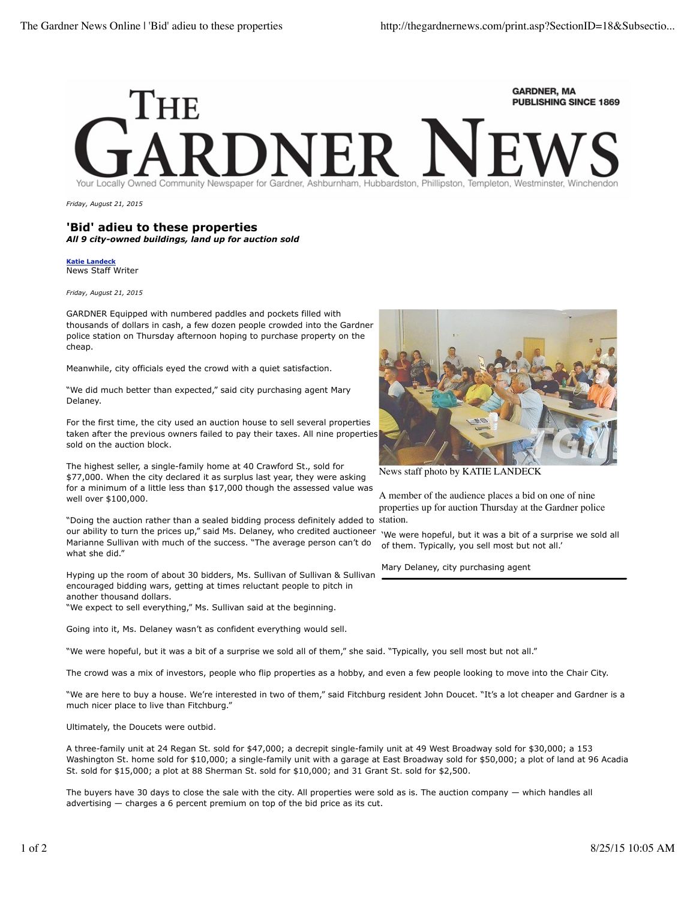## **GARDNER, MA** PUBLISHING SINCE 1869

*Friday, August 21, 2015*

## **'Bid' adieu to these properties** *All 9 city-owned buildings, land up for auction sold*

**Katie Landeck** News Staff Writer

*Friday, August 21, 2015*

GARDNER Equipped with numbered paddles and pockets filled with thousands of dollars in cash, a few dozen people crowded into the Gardner police station on Thursday afternoon hoping to purchase property on the cheap.

Meanwhile, city officials eyed the crowd with a quiet satisfaction.

"We did much better than expected," said city purchasing agent Mary Delaney.

For the first time, the city used an auction house to sell several properties taken after the previous owners failed to pay their taxes. All nine properties sold on the auction block.

The highest seller, a single-family home at 40 Crawford St., sold for \$77,000. When the city declared it as surplus last year, they were asking for a minimum of a little less than \$17,000 though the assessed value was well over \$100,000.

"Doing the auction rather than a sealed bidding process definitely added to our ability to turn the prices up," said Ms. Delaney, who credited auctioneer Marianne Sullivan with much of the success. "The average person can't do what she did."

Hyping up the room of about 30 bidders, Ms. Sullivan of Sullivan & Sullivan encouraged bidding wars, getting at times reluctant people to pitch in another thousand dollars.

"We expect to sell everything," Ms. Sullivan said at the beginning.

Going into it, Ms. Delaney wasn't as confident everything would sell.

"We were hopeful, but it was a bit of a surprise we sold all of them," she said. "Typically, you sell most but not all."

The crowd was a mix of investors, people who flip properties as a hobby, and even a few people looking to move into the Chair City.

"We are here to buy a house. We're interested in two of them," said Fitchburg resident John Doucet. "It's a lot cheaper and Gardner is a much nicer place to live than Fitchburg."

Ultimately, the Doucets were outbid.

A three-family unit at 24 Regan St. sold for \$47,000; a decrepit single-family unit at 49 West Broadway sold for \$30,000; a 153 Washington St. home sold for \$10,000; a single-family unit with a garage at East Broadway sold for \$50,000; a plot of land at 96 Acadia St. sold for \$15,000; a plot at 88 Sherman St. sold for \$10,000; and 31 Grant St. sold for \$2,500.

The buyers have 30 days to close the sale with the city. All properties were sold as is. The auction company — which handles all advertising — charges a 6 percent premium on top of the bid price as its cut.



News staff photo by KATIE LANDECK

A member of the audience places a bid on one of nine properties up for auction Thursday at the Gardner police station.

'We were hopeful, but it was a bit of a surprise we sold all of them. Typically, you sell most but not all.'

Mary Delaney, city purchasing agent